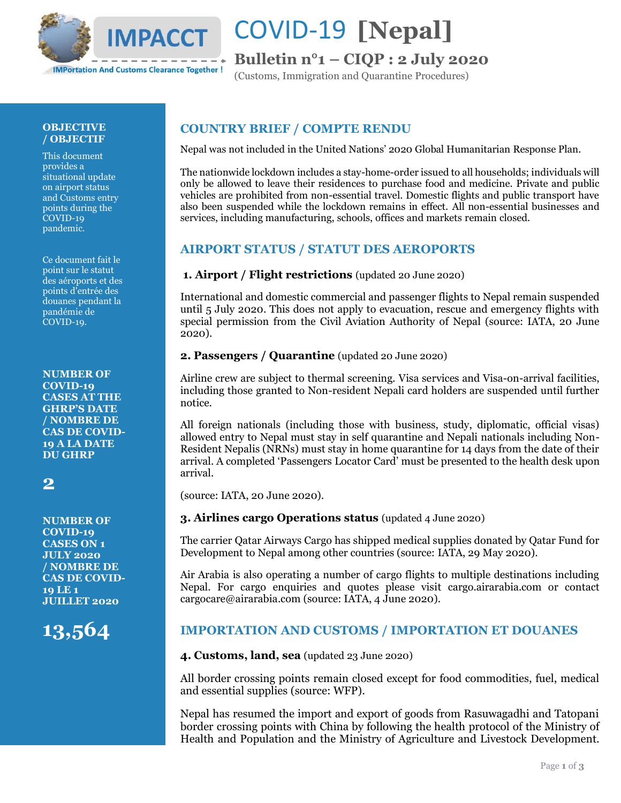

# COVID-19 **[Nepal]**

# **Bulletin n°1 – CIQP : 2 July 2020**

(Customs, Immigration and Quarantine Procedures)

#### **OBJECTIVE / OBJECTIF**

This document provides a situational update on airport status and Customs entry points during the COVID-19 pandemic.

Ce document fait le point sur le statut des aéroports et des points d'entrée des douanes pendant la pandémie de COVID-19.

**NUMBER OF COVID-19 CASES AT THE GHRP'S DATE / NOMBRE DE CAS DE COVID-19 A LA DATE DU GHRP**

# **2**

**NUMBER OF COVID-19 CASES ON 1 JULY 2020 / NOMBRE DE CAS DE COVID-19 LE 1 JUILLET 2020**

# **13,564**

## **COUNTRY BRIEF / COMPTE RENDU**

Nepal was not included in the United Nations' 2020 Global Humanitarian Response Plan.

The nationwide lockdown includes a stay-home-order issued to all households; individuals will only be allowed to leave their residences to purchase food and medicine. Private and public vehicles are prohibited from non-essential travel. Domestic flights and public transport have also been suspended while the lockdown remains in effect. All non-essential businesses and services, including manufacturing, schools, offices and markets remain closed.

### **AIRPORT STATUS / STATUT DES AEROPORTS**

#### **1. Airport / Flight restrictions** (updated 20 June 2020)

International and domestic commercial and passenger flights to Nepal remain suspended until 5 July 2020. This does not apply to evacuation, rescue and emergency flights with special permission from the Civil Aviation Authority of Nepal (source: IATA, 20 June 2020).

#### **2. Passengers / Quarantine** (updated 20 June 2020)

Airline crew are subject to thermal screening. Visa services and Visa-on-arrival facilities, including those granted to Non-resident Nepali card holders are suspended until further notice.

All foreign nationals (including those with business, study, diplomatic, official visas) allowed entry to Nepal must stay in self quarantine and Nepali nationals including Non-Resident Nepalis (NRNs) must stay in home quarantine for 14 days from the date of their arrival. A completed 'Passengers Locator Card' must be presented to the health desk upon arrival.

(source: IATA, 20 June 2020).

#### **3. Airlines cargo Operations status** (updated 4 June 2020)

The carrier Qatar Airways Cargo has shipped medical supplies donated by Qatar Fund for Development to Nepal among other countries (source: IATA, 29 May 2020).

Air Arabia is also operating a number of cargo flights to multiple destinations including Nepal. For cargo enquiries and quotes please visit cargo.airarabia.com or contact cargocare@airarabia.com (source: IATA, 4 June 2020).

### **IMPORTATION AND CUSTOMS / IMPORTATION ET DOUANES**

#### **4. Customs, land, sea** (updated 23 June 2020)

All border crossing points remain closed except for food commodities, fuel, medical and essential supplies (source: WFP).

Nepal has resumed the import and export of goods from Rasuwagadhi and Tatopani border crossing points with China by following the health protocol of the Ministry of Health and Population and the Ministry of Agriculture and Livestock Development.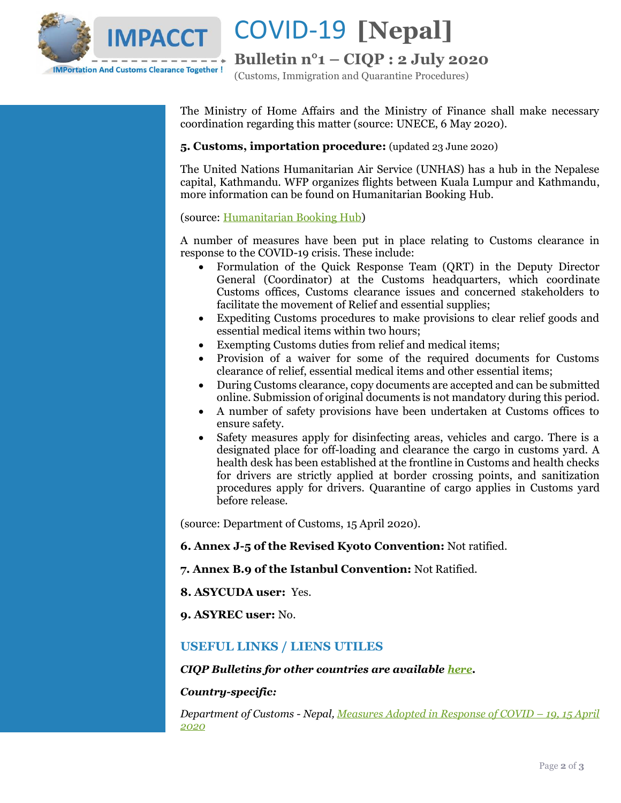

COVID-19 **[Nepal]**

**Bulletin n°1 – CIQP : 2 July 2020**

(Customs, Immigration and Quarantine Procedures)

The Ministry of Home Affairs and the Ministry of Finance shall make necessary coordination regarding this matter (source: UNECE, 6 May 2020).

#### **5. Customs, importation procedure:** (updated 23 June 2020)

The United Nations Humanitarian Air Service (UNHAS) has a hub in the Nepalese capital, Kathmandu. WFP organizes flights between Kuala Lumpur and Kathmandu, more information can be found on Humanitarian Booking Hub.

#### (source[: Humanitarian Booking Hub\)](https://humanitarianbooking.wfp.org/en/wfp-aviation/)

A number of measures have been put in place relating to Customs clearance in response to the COVID-19 crisis. These include:

- Formulation of the Quick Response Team (QRT) in the Deputy Director General (Coordinator) at the Customs headquarters, which coordinate Customs offices, Customs clearance issues and concerned stakeholders to facilitate the movement of Relief and essential supplies;
- Expediting Customs procedures to make provisions to clear relief goods and essential medical items within two hours;
- Exempting Customs duties from relief and medical items;
- Provision of a waiver for some of the required documents for Customs clearance of relief, essential medical items and other essential items;
- During Customs clearance, copy documents are accepted and can be submitted online. Submission of original documents is not mandatory during this period.
- A number of safety provisions have been undertaken at Customs offices to ensure safety.
- Safety measures apply for disinfecting areas, vehicles and cargo. There is a designated place for off-loading and clearance the cargo in customs yard. A health desk has been established at the frontline in Customs and health checks for drivers are strictly applied at border crossing points, and sanitization procedures apply for drivers. Quarantine of cargo applies in Customs yard before release.

(source: Department of Customs, 15 April 2020).

#### **6. Annex J-5 of the Revised Kyoto Convention:** Not ratified.

#### **7. Annex B.9 of the Istanbul Convention:** Not Ratified.

#### **8. ASYCUDA user:** Yes.

#### **9. ASYREC user:** No.

#### **USEFUL LINKS / LIENS UTILES**

#### *CIQP Bulletins for other countries are available [here.](https://vosocc.unocha.org/GetFile.aspx?xml=rss/5033i2la_l1.html&tid=5033&laid=1&sm=-SM34023-)*

#### *Country-specific:*

*Department of Customs - Nepal, [Measures Adopted in Response of COVID](https://vosocc.unocha.org/GetFile.aspx?file=101349_Nepal%20Department%20of%20Customs%20notice%20(15%20April%202020).pdf) – 19, 15 April [2020](https://vosocc.unocha.org/GetFile.aspx?file=101349_Nepal%20Department%20of%20Customs%20notice%20(15%20April%202020).pdf)*